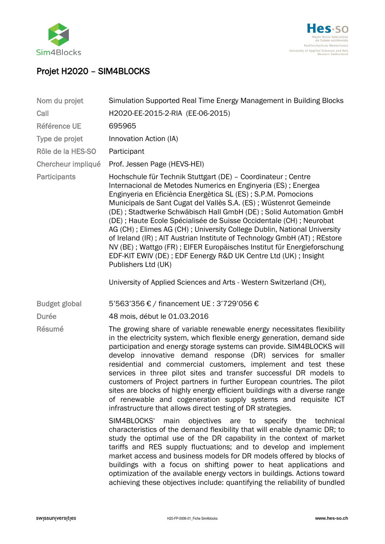



## Projet H2020 – SIM4BLOCKS

| Nom du projet        | Simulation Supported Real Time Energy Management in Building Blocks                                                                                                                                                                                                                                                                                                                                                                                                                                                                                                                                                                                                                                                                          |
|----------------------|----------------------------------------------------------------------------------------------------------------------------------------------------------------------------------------------------------------------------------------------------------------------------------------------------------------------------------------------------------------------------------------------------------------------------------------------------------------------------------------------------------------------------------------------------------------------------------------------------------------------------------------------------------------------------------------------------------------------------------------------|
| Call                 | H2020-EE-2015-2-RIA (EE-06-2015)                                                                                                                                                                                                                                                                                                                                                                                                                                                                                                                                                                                                                                                                                                             |
| <b>Référence UE</b>  | 695965                                                                                                                                                                                                                                                                                                                                                                                                                                                                                                                                                                                                                                                                                                                                       |
| Type de projet       | Innovation Action (IA)                                                                                                                                                                                                                                                                                                                                                                                                                                                                                                                                                                                                                                                                                                                       |
| Rôle de la HES-SO    | Participant                                                                                                                                                                                                                                                                                                                                                                                                                                                                                                                                                                                                                                                                                                                                  |
| Chercheur impliqué   | Prof. Jessen Page (HEVS-HEI)                                                                                                                                                                                                                                                                                                                                                                                                                                                                                                                                                                                                                                                                                                                 |
| Participants         | Hochschule für Technik Stuttgart (DE) - Coordinateur; Centre<br>Internacional de Metodes Numerics en Enginyeria (ES); Energea<br>Enginyeria en Eficiència Energètica SL (ES); S.P.M. Pomocions<br>Municipals de Sant Cugat del Vallès S.A. (ES); Wüstenrot Gemeinde<br>(DE); Stadtwerke Schwäbisch Hall GmbH (DE); Solid Automation GmbH<br>(DE) ; Haute Ecole Spécialisée de Suisse Occidentale (CH) ; Neurobat<br>AG (CH); Elimes AG (CH); University College Dublin, National University<br>of Ireland (IR); AIT Austrian Institute of Technology GmbH (AT); REstore<br>NV (BE) ; Wattgo (FR) ; EIFER Europäisches Institut für Energieforschung<br>EDF-KIT EWIV (DE); EDF Eenergy R&D UK Centre Ltd (UK); Insight<br>Publishers Ltd (UK) |
|                      | University of Applied Sciences and Arts - Western Switzerland (CH),                                                                                                                                                                                                                                                                                                                                                                                                                                                                                                                                                                                                                                                                          |
| <b>Budget global</b> | 5'563'356 € / financement UE: 3'729'056 €                                                                                                                                                                                                                                                                                                                                                                                                                                                                                                                                                                                                                                                                                                    |
| <b>Durée</b>         | 48 mois, début le 01.03.2016                                                                                                                                                                                                                                                                                                                                                                                                                                                                                                                                                                                                                                                                                                                 |
| Résumé               | The growing share of variable renewable energy necessitates flexibility<br>in the electricity system, which flexible energy generation, demand side<br>participation and energy storage systems can provide. SIM4BLOCKS will<br>develop innovative demand response (DR) services for smaller<br>residential and commercial customers, implement and test these<br>services in three pilot sites and transfer successful DR models to<br>customers of Project partners in further European countries. The pilot<br>sites are blocks of highly energy efficient buildings with a diverse range<br>of renewable and cogeneration supply systems and requisite ICT<br>infrastructure that allows direct testing of DR strategies.                |
|                      | SIM4BLOCKS'<br>main<br>objectives are to specify the<br>technical<br>characteristics of the demand flexibility that will enable dynamic DR; to<br>study the optimal use of the DR capability in the context of market<br>tariffs and RES supply fluctuations; and to develop and implement<br>market access and business models for DR models offered by blocks of<br>buildings with a focus on shifting power to heat applications and<br>optimization of the available energy vectors in buildings. Actions toward<br>achieving these objectives include: quantifying the reliability of bundled                                                                                                                                           |